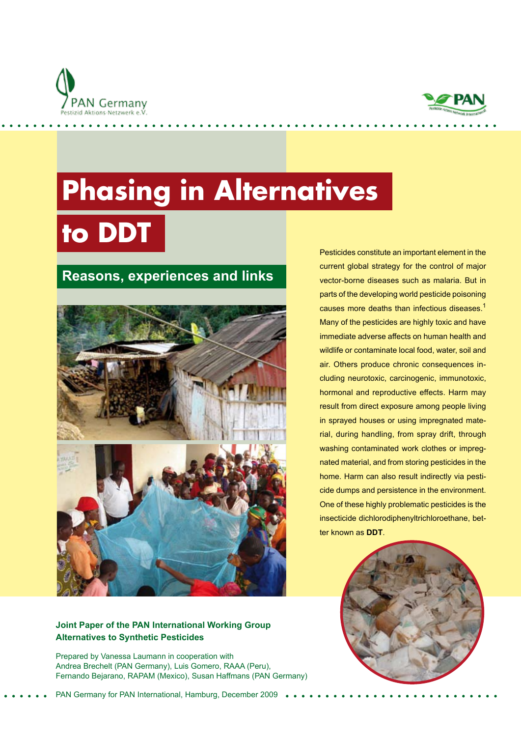



# **Phasing in Alternatives**

**to DDT**

# **Reasons, experiences and links**



Pesticides constitute an important element in the current global strategy for the control of major vector-borne diseases such as malaria. But in parts of the developing world pesticide poisoning causes more deaths than infectious diseases.<sup>1</sup> Many of the pesticides are highly toxic and have immediate adverse affects on human health and wildlife or contaminate local food, water, soil and air. Others produce chronic consequences including neurotoxic, carcinogenic, immunotoxic, hormonal and reproductive effects. Harm may result from direct exposure among people living in sprayed houses or using impregnated material, during handling, from spray drift, through washing contaminated work clothes or impregnated material, and from storing pesticides in the home. Harm can also result indirectly via pesticide dumps and persistence in the environment. One of these highly problematic pesticides is the insecticide dichlorodiphenyltrichloroethane, better known as **DDT**.



#### **Joint Paper of the PAN International Working Group Alternatives to Synthetic Pesticides**

Prepared by Vanessa Laumann in cooperation with Andrea Brechelt (PAN Germany), Luis Gomero, RAAA (Peru), Fernando Bejarano, RAPAM (Mexico), Susan Haffmans (PAN Germany)

PAN Germany for PAN International, Hamburg, December 2009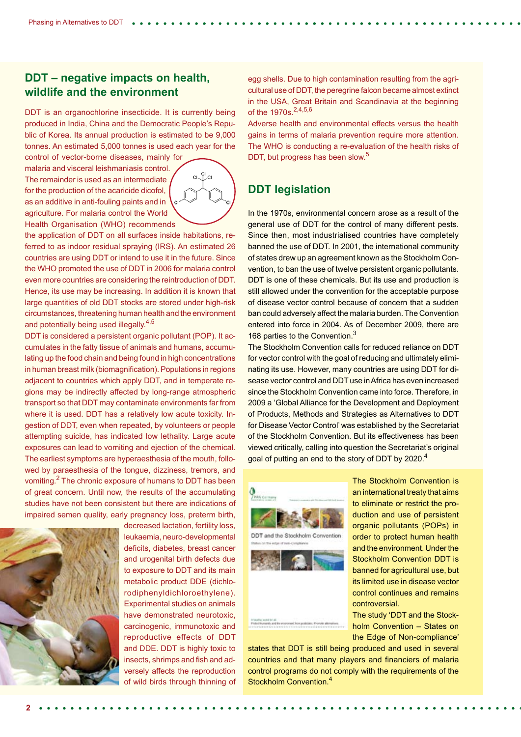#### **DDT – negative impacts on health, wildlife and the environment**

DDT is an organochlorine insecticide. It is currently being produced in India, China and the Democratic People's Republic of Korea. Its annual production is estimated to be 9,000 tonnes. An estimated 5,000 tonnes is used each year for the

control of vector-borne diseases, mainly for malaria and visceral leishmaniasis control. The remainder is used as an intermediate for the production of the acaricide dicofol, as an additive in anti-fouling paints and in agriculture. For malaria control the World Health Organisation (WHO) recommends



the application of DDT on all surfaces inside habitations, referred to as indoor residual spraying (IRS). An estimated 26 countries are using DDT or intend to use it in the future. Since the WHO promoted the use of DDT in 2006 for malaria control even more countries are considering the reintroduction of DDT. Hence, its use may be increasing. In addition it is known that large quantities of old DDT stocks are stored under high-risk circumstances, threatening human health and the environment and potentially being used illegally.<sup>4,5</sup>

DDT is considered a persistent organic pollutant (POP). It accumulates in the fatty tissue of animals and humans, accumulating up the food chain and being found in high concentrations in human breast milk (biomagnification). Populations in regions adjacent to countries which apply DDT, and in temperate regions may be indirectly affected by long-range atmospheric transport so that DDT may contaminate environments far from where it is used. DDT has a relatively low acute toxicity. Ingestion of DDT, even when repeated, by volunteers or people attempting suicide, has indicated low lethality. Large acute exposures can lead to vomiting and ejection of the chemical. The earliest symptoms are hyperaesthesia of the mouth, followed by paraesthesia of the tongue, dizziness, tremors, and vomiting.<sup>2</sup> The chronic exposure of humans to DDT has been of great concern. Until now, the results of the accumulating studies have not been consistent but there are indications of impaired semen quality, early pregnancy loss, preterm birth,



decreased lactation, fertility loss, leukaemia, neuro-developmental deficits, diabetes, breast cancer and urogenital birth defects due to exposure to DDT and its main metabolic product DDE (dichlorodiphenyldichloroethylene). Experimental studies on animals have demonstrated neurotoxic, carcinogenic, immunotoxic and reproductive effects of DDT and DDE. DDT is highly toxic to insects, shrimps and fish and adversely affects the reproduction of wild birds through thinning of egg shells. Due to high contamination resulting from the agricultural use of DDT, the peregrine falcon became almost extinct in the USA, Great Britain and Scandinavia at the beginning of the 1970s.<sup>2,4,5,6</sup>

Adverse health and environmental effects versus the health gains in terms of malaria prevention require more attention. The WHO is conducting a re-evaluation of the health risks of DDT, but progress has been slow.<sup>5</sup>

## **DDT legislation**

In the 1970s, environmental concern arose as a result of the general use of DDT for the control of many different pests. Since then, most industrialised countries have completely banned the use of DDT. In 2001, the international community of states drew up an agreement known as the Stockholm Convention, to ban the use of twelve persistent organic pollutants. DDT is one of these chemicals. But its use and production is still allowed under the convention for the acceptable purpose of disease vector control because of concern that a sudden ban could adversely affect the malaria burden. The Convention entered into force in 2004. As of December 2009, there are 168 parties to the Convention.<sup>3</sup>

The Stockholm Convention calls for reduced reliance on DDT for vector control with the goal of reducing and ultimately eliminating its use. However, many countries are using DDT for disease vector control and DDT use in Africa has even increased since the Stockholm Convention came into force. Therefore, in 2009 a 'Global Alliance for the Development and Deployment of Products, Methods and Strategies as Alternatives to DDT for Disease Vector Control' was established by the Secretariat of the Stockholm Convention. But its effectiveness has been viewed critically, calling into question the Secretariat's original goal of putting an end to the story of DDT by 2020.<sup>4</sup>



The Stockholm Convention is an international treaty that aims to eliminate or restrict the production and use of persistent organic pollutants (POPs) in order to protect human health and the environment. Under the Stockholm Convention DDT is banned for agricultural use, but its limited use in disease vector control continues and remains controversial.

The study 'DDT and the Stockholm Convention – States on the Edge of Non-compliance'

states that DDT is still being produced and used in several countries and that many players and financiers of malaria control programs do not comply with the requirements of the Stockholm Convention.<sup>4</sup>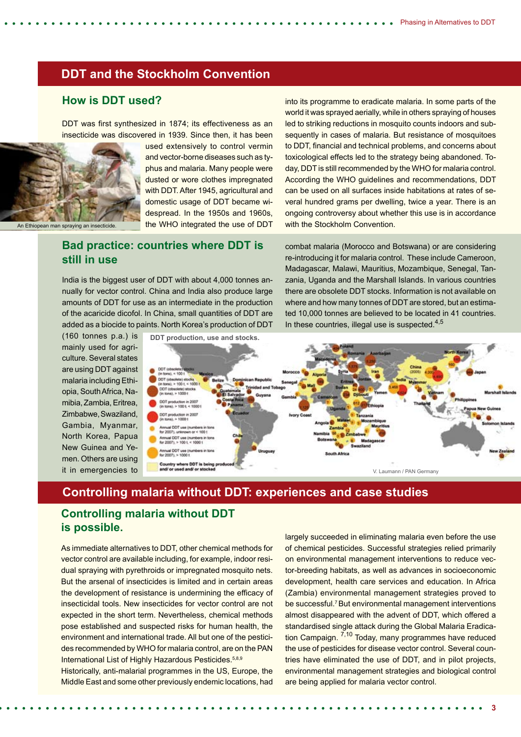into its programme to eradicate malaria. In some parts of the world it was sprayed aerially, while in others spraying of houses led to striking reductions in mosquito counts indoors and subsequently in cases of malaria. But resistance of mosquitoes to DDT, financial and technical problems, and concerns about toxicological effects led to the strategy being abandoned. Today, DDT is still recommended by the WHO for malaria control. According the WHO guidelines and recommendations, DDT can be used on all surfaces inside habitations at rates of several hundred grams per dwelling, twice a year. There is an ongoing controversy about whether this use is in accordance

combat malaria (Morocco and Botswana) or are considering re-introducing it for malaria control. These include Cameroon, Madagascar, Malawi, Mauritius, Mozambique, Senegal, Tanzania, Uganda and the Marshall Islands. In various countries there are obsolete DDT stocks. Information is not available on where and how many tonnes of DDT are stored, but an estimated 10,000 tonnes are believed to be located in 41 countries.

#### **DDT and the Stockholm Convention**

#### **How is DDT used?**

DDT was first synthesized in 1874; its effectiveness as an insecticide was discovered in 1939. Since then, it has been



An Ethiopean man

used extensively to control vermin and vector-borne diseases such as typhus and malaria. Many people were dusted or wore clothes impregnated with DDT. After 1945, agricultural and domestic usage of DDT became widespread. In the 1950s and 1960s, the WHO integrated the use of DDT

#### **Bad practice: countries where DDT is still in use**

India is the biggest user of DDT with about 4,000 tonnes annually for vector control. China and India also produce large amounts of DDT for use as an intermediate in the production of the acaricide dicofol. In China, small quantities of DDT are added as a biocide to paints. North Korea's production of DDT

(160 tonnes p.a.) is mainly used for agriculture. Several states are using DDT against malaria including Ethiopia, South Africa, Namibia, Zambia, Eritrea, Zimbabwe, Swaziland, Gambia, Myanmar, North Korea, Papua New Guinea and Yemen. Others are using it in emergencies to



with the Stockholm Convention.

#### **Controlling malaria without DDT: experiences and case studies**

## **Controlling malaria without DDT is possible.**

As immediate alternatives to DDT, other chemical methods for vector control are available including, for example, indoor residual spraying with pyrethroids or impregnated mosquito nets. But the arsenal of insecticides is limited and in certain areas the development of resistance is undermining the efficacy of insecticidal tools. New insecticides for vector control are not expected in the short term. Nevertheless, chemical methods pose established and suspected risks for human health, the environment and international trade. All but one of the pesticides recommended by WHO for malaria control, are on the PAN International List of Highly Hazardous Pesticides.5,8,9

Historically, anti-malarial programmes in the US, Europe, the Middle East and some other previously endemic locations, had

largely succeeded in eliminating malaria even before the use of chemical pesticides. Successful strategies relied primarily on environmental management interventions to reduce vector-breeding habitats, as well as advances in socioeconomic development, health care services and education. In Africa (Zambia) environmental management strategies proved to be successful.7 But environmental management interventions almost disappeared with the advent of DDT, which offered a standardised single attack during the Global Malaria Eradication Campaign. 7,10 Today, many programmes have reduced the use of pesticides for disease vector control. Several countries have eliminated the use of DDT, and in pilot projects, environmental management strategies and biological control are being applied for malaria vector control.

**3**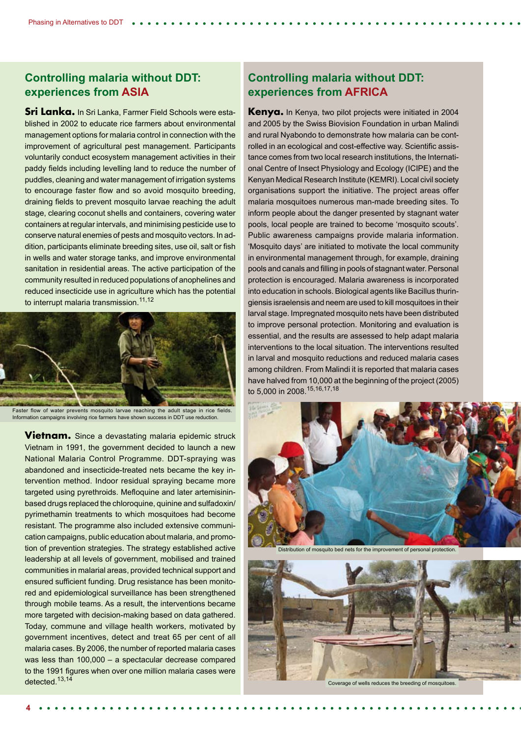#### **Controlling malaria without DDT: experiences from ASIA**

**Sri Lanka.** In Sri Lanka, Farmer Field Schools were established in 2002 to educate rice farmers about environmental management options for malaria control in connection with the improvement of agricultural pest management. Participants voluntarily conduct ecosystem management activities in their paddy fields including levelling land to reduce the number of puddles, cleaning and water management of irrigation systems to encourage faster flow and so avoid mosquito breeding, draining fields to prevent mosquito larvae reaching the adult stage, clearing coconut shells and containers, covering water containers at regular intervals, and minimising pesticide use to conserve natural enemies of pests and mosquito vectors. In addition, participants eliminate breeding sites, use oil, salt or fish in wells and water storage tanks, and improve environmental sanitation in residential areas. The active participation of the community resulted in reduced populations of anophelines and reduced insecticide use in agriculture which has the potential to interrupt malaria transmission.<sup>11,12</sup>



Faster flow of water prevents mosquito larvae reaching the adult stage in rice fields. Information campaigns involving rice farmers have shown success in DDT use reduction.

**Vietnam.** Since a devastating malaria epidemic struck Vietnam in 1991, the government decided to launch a new National Malaria Control Programme. DDT-spraying was abandoned and insecticide-treated nets became the key intervention method. Indoor residual spraying became more targeted using pyrethroids. Mefloquine and later artemisininbased drugs replaced the chloroquine, quinine and sulfadoxin/ pyrimethamin treatments to which mosquitoes had become resistant. The programme also included extensive communication campaigns, public education about malaria, and promotion of prevention strategies. The strategy established active leadership at all levels of government, mobilised and trained communities in malarial areas, provided technical support and ensured sufficient funding. Drug resistance has been monitored and epidemiological surveillance has been strengthened through mobile teams. As a result, the interventions became more targeted with decision-making based on data gathered. Today, commune and village health workers, motivated by government incentives, detect and treat 65 per cent of all malaria cases. By 2006, the number of reported malaria cases was less than 100,000 – a spectacular decrease compared to the 1991 figures when over one million malaria cases were detected.13,14

#### **Controlling malaria without DDT: experiences from AFRICA**

**Kenya.** In Kenya, two pilot projects were initiated in 2004 and 2005 by the Swiss Biovision Foundation in urban Malindi and rural Nyabondo to demonstrate how malaria can be controlled in an ecological and cost-effective way. Scientific assistance comes from two local research institutions, the International Centre of Insect Physiology and Ecology (ICIPE) and the Kenyan Medical Research Institute (KEMRI). Local civil society organisations support the initiative. The project areas offer malaria mosquitoes numerous man-made breeding sites. To inform people about the danger presented by stagnant water pools, local people are trained to become 'mosquito scouts'. Public awareness campaigns provide malaria information. 'Mosquito days' are initiated to motivate the local community in environmental management through, for example, draining pools and canals and filling in pools of stagnant water. Personal protection is encouraged. Malaria awareness is incorporated into education in schools. Biological agents like Bacillus thuringiensis israelensis and neem are used to kill mosquitoes in their larval stage. Impregnated mosquito nets have been distributed to improve personal protection. Monitoring and evaluation is essential, and the results are assessed to help adapt malaria interventions to the local situation. The interventions resulted in larval and mosquito reductions and reduced malaria cases among children. From Malindi it is reported that malaria cases have halved from 10,000 at the beginning of the project (2005) to 5,000 in 2008.15,16,17,18



Distribution of mosquito bed nets for the improvement of personal protection.



Coverage of wells reduces the breeding of mosquitoes.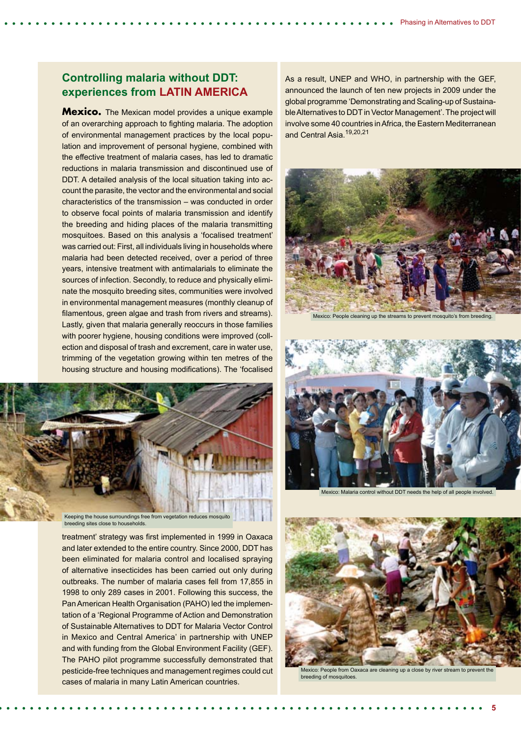#### **Controlling malaria without DDT: experiences from LATIN AMERICA**

**Mexico.** The Mexican model provides a unique example of an overarching approach to fighting malaria. The adoption of environmental management practices by the local population and improvement of personal hygiene, combined with the effective treatment of malaria cases, has led to dramatic reductions in malaria transmission and discontinued use of DDT. A detailed analysis of the local situation taking into account the parasite, the vector and the environmental and social characteristics of the transmission – was conducted in order to observe focal points of malaria transmission and identify the breeding and hiding places of the malaria transmitting mosquitoes. Based on this analysis a 'focalised treatment' was carried out: First, all individuals living in households where malaria had been detected received, over a period of three years, intensive treatment with antimalarials to eliminate the sources of infection. Secondly, to reduce and physically eliminate the mosquito breeding sites, communities were involved in environmental management measures (monthly cleanup of filamentous, green algae and trash from rivers and streams). Lastly, given that malaria generally reoccurs in those families with poorer hygiene, housing conditions were improved (collection and disposal of trash and excrement, care in water use, trimming of the vegetation growing within ten metres of the housing structure and housing modifications). The 'focalised



breeding sites close to households.

treatment' strategy was first implemented in 1999 in Oaxaca and later extended to the entire country. Since 2000, DDT has been eliminated for malaria control and localised spraying of alternative insecticides has been carried out only during outbreaks. The number of malaria cases fell from 17,855 in 1998 to only 289 cases in 2001. Following this success, the Pan American Health Organisation (PAHO) led the implementation of a 'Regional Programme of Action and Demonstration of Sustainable Alternatives to DDT for Malaria Vector Control in Mexico and Central America' in partnership with UNEP and with funding from the Global Environment Facility (GEF). The PAHO pilot programme successfully demonstrated that pesticide-free techniques and management regimes could cut cases of malaria in many Latin American countries.

As a result, UNEP and WHO, in partnership with the GEF, announced the launch of ten new projects in 2009 under the global programme 'Demonstrating and Scaling-up of Sustainable Alternatives to DDT in Vector Management'. The project will involve some 40 countries in Africa, the Eastern Mediterranean and Central Asia.<sup>19,20,21</sup>



Mexico: People cleaning up the streams to prevent mosquito's from breeding.



Mexico: Malaria control without DDT needs the help of all people involved.



Mexico: People from Oaxaca are cleaning up a close by river stream to prevent the breeding of mosquitoes.

**5**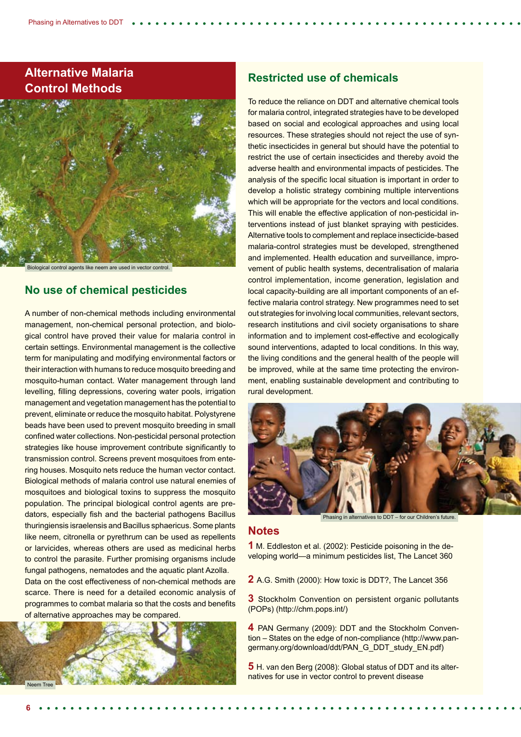## **Alternative Malaria Control Methods**



Biological control agents like neem are used in vector control.

#### **No use of chemical pesticides**

A number of non-chemical methods including environmental management, non-chemical personal protection, and biological control have proved their value for malaria control in certain settings. Environmental management is the collective term for manipulating and modifying environmental factors or their interaction with humans to reduce mosquito breeding and mosquito-human contact. Water management through land levelling, filling depressions, covering water pools, irrigation management and vegetation management has the potential to prevent, eliminate or reduce the mosquito habitat. Polystyrene beads have been used to prevent mosquito breeding in small confined water collections. Non-pesticidal personal protection strategies like house improvement contribute significantly to transmission control. Screens prevent mosquitoes from entering houses. Mosquito nets reduce the human vector contact. Biological methods of malaria control use natural enemies of mosquitoes and biological toxins to suppress the mosquito population. The principal biological control agents are predators, especially fish and the bacterial pathogens Bacillus thuringiensis israelensis and Bacillus sphaericus. Some plants like neem, citronella or pyrethrum can be used as repellents or larvicides, whereas others are used as medicinal herbs to control the parasite. Further promising organisms include fungal pathogens, nematodes and the aquatic plant Azolla.

Data on the cost effectiveness of non-chemical methods are scarce. There is need for a detailed economic analysis of programmes to combat malaria so that the costs and benefits of alternative approaches may be compared.



#### **Restricted use of chemicals**

To reduce the reliance on DDT and alternative chemical tools for malaria control, integrated strategies have to be developed based on social and ecological approaches and using local resources. These strategies should not reject the use of synthetic insecticides in general but should have the potential to restrict the use of certain insecticides and thereby avoid the adverse health and environmental impacts of pesticides. The analysis of the specific local situation is important in order to develop a holistic strategy combining multiple interventions which will be appropriate for the vectors and local conditions. This will enable the effective application of non-pesticidal interventions instead of just blanket spraying with pesticides. Alternative tools to complement and replace insecticide-based malaria-control strategies must be developed, strengthened and implemented. Health education and surveillance, improvement of public health systems, decentralisation of malaria control implementation, income generation, legislation and local capacity-building are all important components of an effective malaria control strategy. New programmes need to set out strategies for involving local communities, relevant sectors, research institutions and civil society organisations to share information and to implement cost-effective and ecologically sound interventions, adapted to local conditions. In this way, the living conditions and the general health of the people will be improved, while at the same time protecting the environment, enabling sustainable development and contributing to rural development.



Phasing in alternatives to DDT – for our Children's future.

#### **Notes**

**1** M. Eddleston et al. (2002): Pesticide poisoning in the developing world—a minimum pesticides list, The Lancet 360

**2** A.G. Smith (2000): How toxic is DDT?, The Lancet 356

**3** Stockholm Convention on persistent organic pollutants (POPs) (http://chm.pops.int/)

**4** PAN Germany (2009): DDT and the Stockholm Convention – States on the edge of non-compliance (http://www.pangermany.org/download/ddt/PAN\_G\_DDT\_study\_EN.pdf)

**5** H. van den Berg (2008): Global status of DDT and its alternatives for use in vector control to prevent disease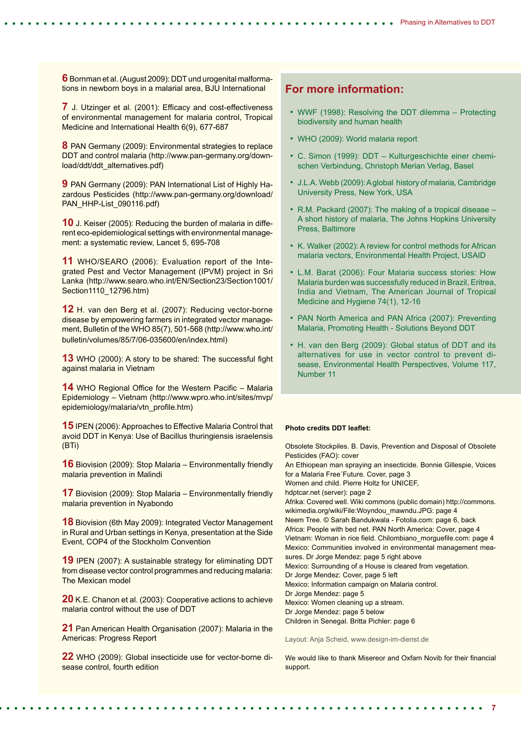**6** Bornman et al. (August 2009): DDT und urogenital malformations in newborn boys in a malarial area, BJU International

**7** J. Utzinger et al. (2001): Efficacy and cost-effectiveness of environmental management for malaria control, Tropical Medicine and International Health 6(9), 677-687

**8** PAN Germany (2009): Environmental strategies to replace DDT and control malaria (http://www.pan-germany.org/download/ddt/ddt\_alternatives.pdf)

**9** PAN Germany (2009): PAN International List of Highly Hazardous Pesticides (http://www.pan-germany.org/download/ PAN\_HHP-List\_090116.pdf)

**10** J. Keiser (2005): Reducing the burden of malaria in different eco-epidemiological settings with environmental management: a systematic review, Lancet 5, 695-708

**11** WHO/SEARO (2006): Evaluation report of the Integrated Pest and Vector Management (IPVM) project in Sri Lanka (http://www.searo.who.int/EN/Section23/Section1001/ Section1110\_12796.htm)

**12** H. van den Berg et al. (2007): Reducing vector-borne disease by empowering farmers in integrated vector management, Bulletin of the WHO 85(7), 501-568 (http://www.who.int/ bulletin/volumes/85/7/06-035600/en/index.html)

**13** WHO (2000): A story to be shared: The successful fight against malaria in Vietnam

**14** WHO Regional Office for the Western Pacific – Malaria Epidemiology – Vietnam (http://www.wpro.who.int/sites/mvp/ epidemiology/malaria/vtn\_profile.htm)

**15** IPEN (2006): Approaches to Effective Malaria Control that avoid DDT in Kenya: Use of Bacillus thuringiensis israelensis (BTi)

**16** Biovision (2009): Stop Malaria – Environmentally friendly malaria prevention in Malindi

**17** Biovision (2009): Stop Malaria – Environmentally friendly malaria prevention in Nyabondo

**18** Biovision (6th May 2009): Integrated Vector Management in Rural and Urban settings in Kenya, presentation at the Side Event, COP4 of the Stockholm Convention

**19** IPEN (2007): A sustainable strategy for eliminating DDT from disease vector control programmes and reducing malaria: The Mexican model

**20** K.E. Chanon et al. (2003): Cooperative actions to achieve malaria control without the use of DDT

**21** Pan American Health Organisation (2007): Malaria in the Americas: Progress Report

**22** WHO (2009): Global insecticide use for vector-borne disease control, fourth edition

#### **For more information:**

- WWF (1998): Resolving the DDT dilemma Protecting biodiversity and human health
- WHO (2009): World malaria report
- C. Simon (1999): DDT Kulturgeschichte einer chemischen Verbindung, Christoph Merian Verlag, Basel
- J.L.A. Webb (2009): A global history of malaria, Cambridge University Press, New York, USA
- R.M. Packard (2007): The making of a tropical disease A short history of malaria, The Johns Hopkins University Press, Baltimore
- K. Walker (2002): A review for control methods for African malaria vectors, Environmental Health Project, USAID
- L.M. Barat (2006): Four Malaria success stories: How Malaria burden was successfully reduced in Brazil, Eritrea, India and Vietnam, The American Journal of Tropical Medicine and Hygiene 74(1), 12-16
- PAN North America and PAN Africa (2007): Preventing Malaria, Promoting Health - Solutions Beyond DDT
- H. van den Berg (2009): Global status of DDT and its alternatives for use in vector control to prevent disease, Environmental Health Perspectives, Volume 117, Number 11

#### **Photo credits DDT leaflet:**

Obsolete Stockpiles. B. Davis, Prevention and Disposal of Obsolete Pesticides (FAO): cover An Ethiopean man spraying an insecticide. Bonnie Gillespie, Voices for a Malaria Free´Future. Cover, page 3 Women and child. Pierre Holtz for UNICEF, hdptcar.net (server): page 2 Afrika: Covered well. Wiki commons (public domain) http://commons. wikimedia.org/wiki/File:Woyndou\_mawndu.JPG: page 4 Neem Tree. © Sarah Bandukwala - Fotolia.com: page 6, back Africa: People with bed net. PAN North America: Cover, page 4 Vietnam: Woman in rice field. Chilombiano\_morguefile.com: page 4 Mexico: Communities involved in environmental management measures. Dr Jorge Mendez: page 5 right above Mexico: Surrounding of a House is cleared from vegetation. Dr Jorge Mendez: Cover, page 5 left Mexico: Information campaign on Malaria control. Dr Jorge Mendez: page 5 Mexico: Women cleaning up a stream. Dr Jorge Mendez: page 5 below Children in Senegal. Britta Pichler: page 6

Layout: Anja Scheid, www.design-im-dienst.de

We would like to thank Misereor and Oxfam Novib for their financial support.

**7**